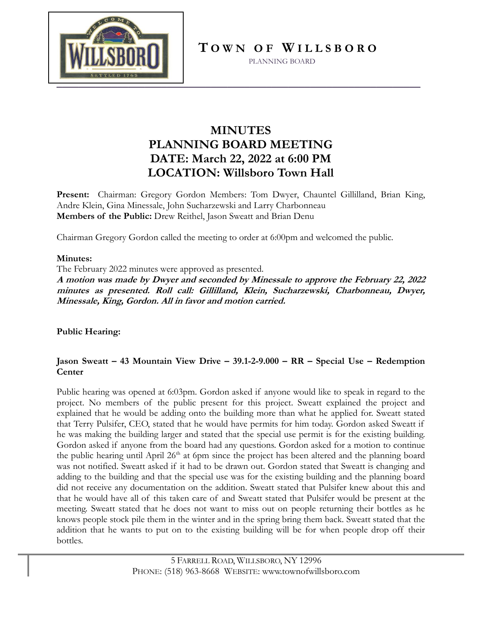

**T O W N O F W I L L S B O R O**

PLANNING BOARD

## **MINUTES PLANNING BOARD MEETING DATE: March 22, 2022 at 6:00 PM LOCATION: Willsboro Town Hall**

**Present:** Chairman: Gregory Gordon Members: Tom Dwyer, Chauntel Gillilland, Brian King, Andre Klein, Gina Minessale, John Sucharzewski and Larry Charbonneau **Members of the Public:** Drew Reithel, Jason Sweatt and Brian Denu

Chairman Gregory Gordon called the meeting to order at 6:00pm and welcomed the public.

## **Minutes:**

The February 2022 minutes were approved as presented.

**A motion was made by Dwyer and seconded by Minessale to approve the February 22, 2022 minutes as presented. Roll call: Gillilland, Klein, Sucharzewski, Charbonneau, Dwyer, Minessale, King, Gordon. All in favor and motion carried.** 

### **Public Hearing:**

## **Jason Sweatt – 43 Mountain View Drive – 39.1-2-9.000 – RR – Special Use – Redemption Center**

Public hearing was opened at 6:03pm. Gordon asked if anyone would like to speak in regard to the project. No members of the public present for this project. Sweatt explained the project and explained that he would be adding onto the building more than what he applied for. Sweatt stated that Terry Pulsifer, CEO, stated that he would have permits for him today. Gordon asked Sweatt if he was making the building larger and stated that the special use permit is for the existing building. Gordon asked if anyone from the board had any questions. Gordon asked for a motion to continue the public hearing until April 26<sup>th</sup> at 6pm since the project has been altered and the planning board was not notified. Sweatt asked if it had to be drawn out. Gordon stated that Sweatt is changing and adding to the building and that the special use was for the existing building and the planning board did not receive any documentation on the addition. Sweatt stated that Pulsifer knew about this and that he would have all of this taken care of and Sweatt stated that Pulsifer would be present at the meeting. Sweatt stated that he does not want to miss out on people returning their bottles as he knows people stock pile them in the winter and in the spring bring them back. Sweatt stated that the addition that he wants to put on to the existing building will be for when people drop off their bottles.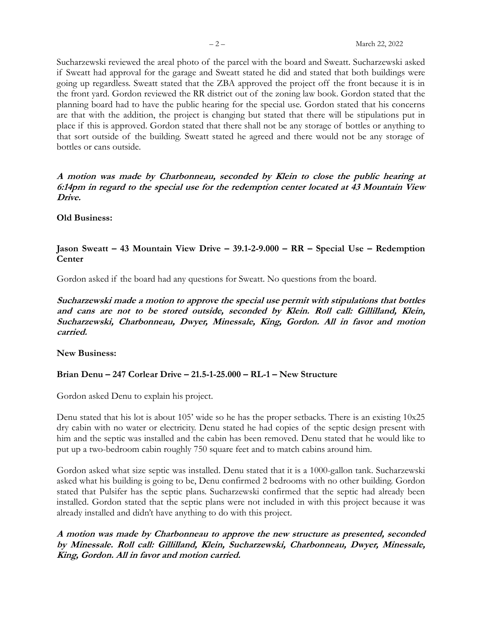Sucharzewski reviewed the areal photo of the parcel with the board and Sweatt. Sucharzewski asked if Sweatt had approval for the garage and Sweatt stated he did and stated that both buildings were going up regardless. Sweatt stated that the ZBA approved the project off the front because it is in the front yard. Gordon reviewed the RR district out of the zoning law book. Gordon stated that the planning board had to have the public hearing for the special use. Gordon stated that his concerns are that with the addition, the project is changing but stated that there will be stipulations put in place if this is approved. Gordon stated that there shall not be any storage of bottles or anything to that sort outside of the building. Sweatt stated he agreed and there would not be any storage of bottles or cans outside.

**A motion was made by Charbonneau, seconded by Klein to close the public hearing at 6:14pm in regard to the special use for the redemption center located at 43 Mountain View Drive.** 

#### **Old Business:**

### **Jason Sweatt – 43 Mountain View Drive – 39.1-2-9.000 – RR – Special Use – Redemption Center**

Gordon asked if the board had any questions for Sweatt. No questions from the board.

**Sucharzewski made a motion to approve the special use permit with stipulations that bottles and cans are not to be stored outside, seconded by Klein. Roll call: Gillilland, Klein, Sucharzewski, Charbonneau, Dwyer, Minessale, King, Gordon. All in favor and motion carried.**

**New Business:**

### **Brian Denu – 247 Corlear Drive – 21.5-1-25.000 – RL-1 – New Structure**

Gordon asked Denu to explain his project.

Denu stated that his lot is about 105' wide so he has the proper setbacks. There is an existing 10x25 dry cabin with no water or electricity. Denu stated he had copies of the septic design present with him and the septic was installed and the cabin has been removed. Denu stated that he would like to put up a two-bedroom cabin roughly 750 square feet and to match cabins around him.

Gordon asked what size septic was installed. Denu stated that it is a 1000-gallon tank. Sucharzewski asked what his building is going to be, Denu confirmed 2 bedrooms with no other building. Gordon stated that Pulsifer has the septic plans. Sucharzewski confirmed that the septic had already been installed. Gordon stated that the septic plans were not included in with this project because it was already installed and didn't have anything to do with this project.

**A motion was made by Charbonneau to approve the new structure as presented, seconded by Minessale. Roll call: Gillilland, Klein, Sucharzewski, Charbonneau, Dwyer, Minessale, King, Gordon. All in favor and motion carried.**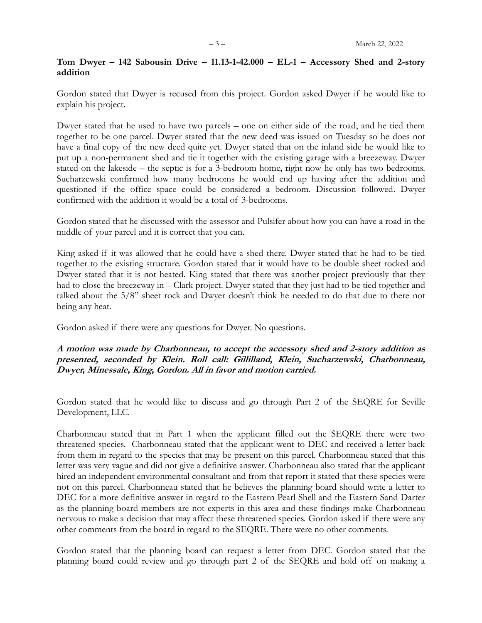#### **Tom Dwyer – 142 Sabousin Drive – 11.13-1-42.000 – EL-1 – Accessory Shed and 2-story addition**

Gordon stated that Dwyer is recused from this project. Gordon asked Dwyer if he would like to explain his project.

Dwyer stated that he used to have two parcels – one on either side of the road, and he tied them together to be one parcel. Dwyer stated that the new deed was issued on Tuesday so he does not have a final copy of the new deed quite yet. Dwyer stated that on the inland side he would like to put up a non-permanent shed and tie it together with the existing garage with a breezeway. Dwyer stated on the lakeside – the septic is for a 3-bedroom home, right now he only has two bedrooms. Sucharzewski confirmed how many bedrooms he would end up having after the addition and questioned if the office space could be considered a bedroom. Discussion followed. Dwyer confirmed with the addition it would be a total of 3-bedrooms.

Gordon stated that he discussed with the assessor and Pulsifer about how you can have a road in the middle of your parcel and it is correct that you can.

King asked if it was allowed that he could have a shed there. Dwyer stated that he had to be tied together to the existing structure. Gordon stated that it would have to be double sheet rocked and Dwyer stated that it is not heated. King stated that there was another project previously that they had to close the breezeway in – Clark project. Dwyer stated that they just had to be tied together and talked about the 5/8'' sheet rock and Dwyer doesn't think he needed to do that due to there not being any heat.

Gordon asked if there were any questions for Dwyer. No questions.

### **A motion was made by Charbonneau, to accept the accessory shed and 2-story addition as presented, seconded by Klein. Roll call: Gillilland, Klein, Sucharzewski, Charbonneau, Dwyer, Minessale, King, Gordon. All in favor and motion carried.**

Gordon stated that he would like to discuss and go through Part 2 of the SEQRE for Seville Development, LLC.

Charbonneau stated that in Part 1 when the applicant filled out the SEQRE there were two threatened species. Charbonneau stated that the applicant went to DEC and received a letter back from them in regard to the species that may be present on this parcel. Charbonneau stated that this letter was very vague and did not give a definitive answer. Charbonneau also stated that the applicant hired an independent environmental consultant and from that report it stated that these species were not on this parcel. Charbonneau stated that he believes the planning board should write a letter to DEC for a more definitive answer in regard to the Eastern Pearl Shell and the Eastern Sand Darter as the planning board members are not experts in this area and these findings make Charbonneau nervous to make a decision that may affect these threatened species. Gordon asked if there were any other comments from the board in regard to the SEQRE. There were no other comments.

Gordon stated that the planning board can request a letter from DEC. Gordon stated that the planning board could review and go through part 2 of the SEQRE and hold off on making a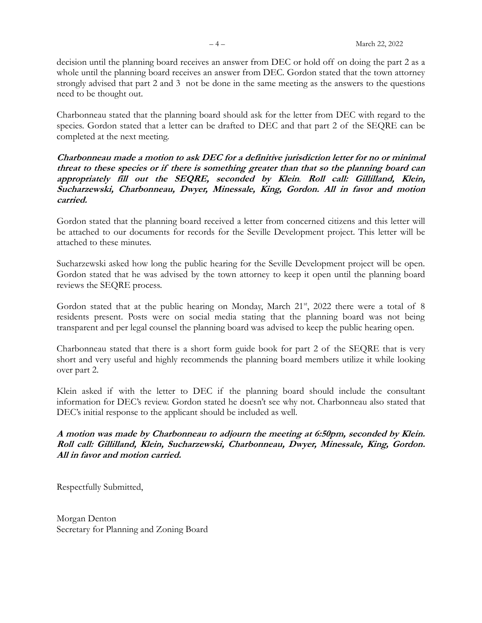decision until the planning board receives an answer from DEC or hold off on doing the part 2 as a whole until the planning board receives an answer from DEC. Gordon stated that the town attorney strongly advised that part 2 and 3 not be done in the same meeting as the answers to the questions need to be thought out.

Charbonneau stated that the planning board should ask for the letter from DEC with regard to the species. Gordon stated that a letter can be drafted to DEC and that part 2 of the SEQRE can be completed at the next meeting.

**Charbonneau made a motion to ask DEC for a definitive jurisdiction letter for no or minimal threat to these species or if there is something greater than that so the planning board can appropriately fill out the SEQRE, seconded by Klein**. **Roll call: Gillilland, Klein, Sucharzewski, Charbonneau, Dwyer, Minessale, King, Gordon. All in favor and motion carried.**

Gordon stated that the planning board received a letter from concerned citizens and this letter will be attached to our documents for records for the Seville Development project. This letter will be attached to these minutes.

Sucharzewski asked how long the public hearing for the Seville Development project will be open. Gordon stated that he was advised by the town attorney to keep it open until the planning board reviews the SEQRE process.

Gordon stated that at the public hearing on Monday, March 21<sup>st</sup>, 2022 there were a total of 8 residents present. Posts were on social media stating that the planning board was not being transparent and per legal counsel the planning board was advised to keep the public hearing open.

Charbonneau stated that there is a short form guide book for part 2 of the SEQRE that is very short and very useful and highly recommends the planning board members utilize it while looking over part 2.

Klein asked if with the letter to DEC if the planning board should include the consultant information for DEC's review. Gordon stated he doesn't see why not. Charbonneau also stated that DEC's initial response to the applicant should be included as well.

**A motion was made by Charbonneau to adjourn the meeting at 6:50pm, seconded by Klein. Roll call: Gillilland, Klein, Sucharzewski, Charbonneau, Dwyer, Minessale, King, Gordon. All in favor and motion carried.**

Respectfully Submitted,

Morgan Denton Secretary for Planning and Zoning Board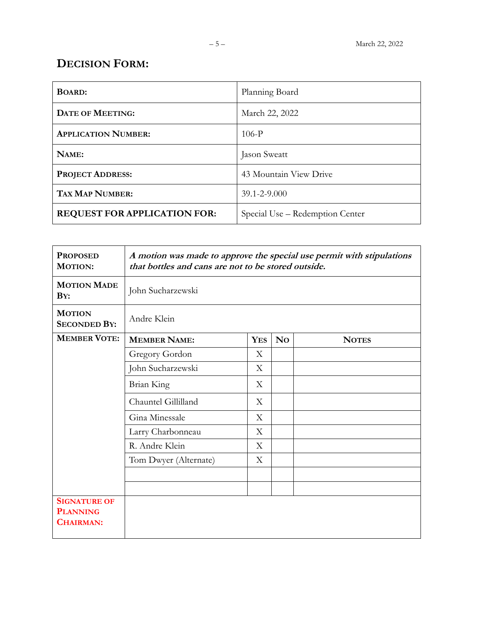# **DECISION FORM:**

| <b>BOARD:</b>                       | Planning Board                  |
|-------------------------------------|---------------------------------|
| <b>DATE OF MEETING:</b>             | March 22, 2022                  |
| <b>APPLICATION NUMBER:</b>          | $106-P$                         |
| NAME:                               | Jason Sweatt                    |
| <b>PROJECT ADDRESS:</b>             | 43 Mountain View Drive          |
| <b>TAX MAP NUMBER:</b>              | $39.1 - 2 - 9.000$              |
| <b>REQUEST FOR APPLICATION FOR:</b> | Special Use - Redemption Center |

| <b>PROPOSED</b><br><b>MOTION:</b>                          | A motion was made to approve the special use permit with stipulations<br>that bottles and cans are not to be stored outside. |            |                |              |
|------------------------------------------------------------|------------------------------------------------------------------------------------------------------------------------------|------------|----------------|--------------|
| <b>MOTION MADE</b><br>$\mathbf{B}Y:$                       | John Sucharzewski                                                                                                            |            |                |              |
| <b>MOTION</b><br><b>SECONDED BY:</b>                       | Andre Klein                                                                                                                  |            |                |              |
| <b>MEMBER VOTE:</b>                                        | <b>MEMBER NAME:</b>                                                                                                          | <b>YES</b> | N <sub>0</sub> | <b>NOTES</b> |
|                                                            | Gregory Gordon                                                                                                               | X          |                |              |
|                                                            | John Sucharzewski                                                                                                            | X          |                |              |
|                                                            | Brian King                                                                                                                   | X          |                |              |
|                                                            | Chauntel Gillilland                                                                                                          | X          |                |              |
|                                                            | Gina Minessale                                                                                                               | X          |                |              |
|                                                            | Larry Charbonneau                                                                                                            | X          |                |              |
|                                                            | R. Andre Klein                                                                                                               | X          |                |              |
|                                                            | Tom Dwyer (Alternate)                                                                                                        | X          |                |              |
|                                                            |                                                                                                                              |            |                |              |
|                                                            |                                                                                                                              |            |                |              |
| <b>SIGNATURE OF</b><br><b>PLANNING</b><br><b>CHAIRMAN:</b> |                                                                                                                              |            |                |              |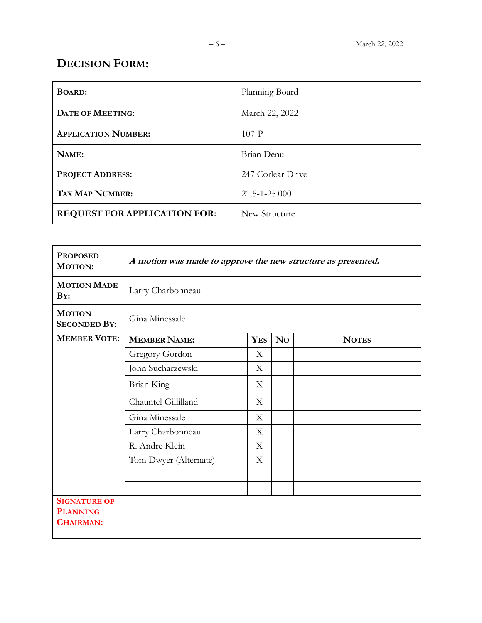# **DECISION FORM:**

| <b>BOARD:</b>                       | Planning Board      |
|-------------------------------------|---------------------|
| <b>DATE OF MEETING:</b>             | March 22, 2022      |
| <b>APPLICATION NUMBER:</b>          | $107-P$             |
| NAME:                               | Brian Denu          |
| <b>PROJECT ADDRESS:</b>             | 247 Corlear Drive   |
| <b>TAX MAP NUMBER:</b>              | $21.5 - 1 - 25.000$ |
| <b>REQUEST FOR APPLICATION FOR:</b> | New Structure       |

| <b>PROPOSED</b><br><b>MOTION:</b>                          | A motion was made to approve the new structure as presented. |            |           |              |
|------------------------------------------------------------|--------------------------------------------------------------|------------|-----------|--------------|
| <b>MOTION MADE</b><br>$\mathbf{B}Y:$                       | Larry Charbonneau                                            |            |           |              |
| <b>MOTION</b><br><b>SECONDED BY:</b>                       | Gina Minessale                                               |            |           |              |
| <b>MEMBER VOTE:</b>                                        | <b>MEMBER NAME:</b>                                          | <b>YES</b> | <b>No</b> | <b>NOTES</b> |
|                                                            | Gregory Gordon                                               | X          |           |              |
|                                                            | John Sucharzewski                                            | X          |           |              |
|                                                            | Brian King                                                   | X          |           |              |
|                                                            | Chauntel Gillilland                                          | X          |           |              |
|                                                            | Gina Minessale                                               | X          |           |              |
|                                                            | Larry Charbonneau                                            | X          |           |              |
|                                                            | R. Andre Klein                                               | X          |           |              |
|                                                            | Tom Dwyer (Alternate)                                        | X          |           |              |
|                                                            |                                                              |            |           |              |
|                                                            |                                                              |            |           |              |
| <b>SIGNATURE OF</b><br><b>PLANNING</b><br><b>CHAIRMAN:</b> |                                                              |            |           |              |